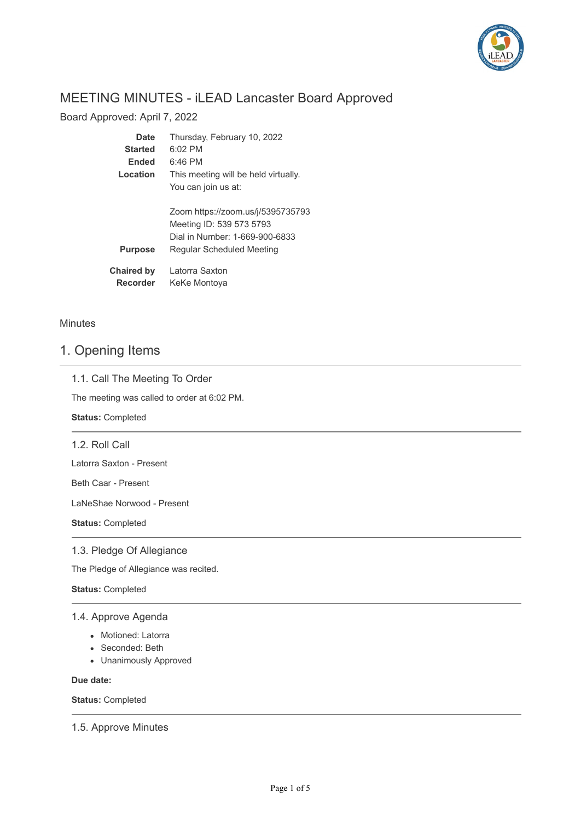

# MEETING MINUTES - iLEAD Lancaster Board Approved

Board Approved: April 7, 2022

| Date                          | Thursday, February 10, 2022                                                                     |
|-------------------------------|-------------------------------------------------------------------------------------------------|
| <b>Started</b>                | $6:02$ PM                                                                                       |
| <b>Ended</b>                  | $6:46$ PM                                                                                       |
| Location                      | This meeting will be held virtually.                                                            |
|                               | You can join us at:                                                                             |
|                               | Zoom https://zoom.us/j/5395735793<br>Meeting ID: 539 573 5793<br>Dial in Number: 1-669-900-6833 |
| <b>Purpose</b>                | Regular Scheduled Meeting                                                                       |
| <b>Chaired by</b><br>Recorder | Latorra Saxton<br>KeKe Montoya                                                                  |

**Minutes** 

## 1. Opening Items

## 1.1. Call The Meeting To Order

The meeting was called to order at 6:02 PM.

**Status:** Completed

1.2. Roll Call

Latorra Saxton - Present

Beth Caar - Present

LaNeShae Norwood - Present

**Status:** Completed

## 1.3. Pledge Of Allegiance

The Pledge of Allegiance was recited.

**Status:** Completed

## 1.4. Approve Agenda

- Motioned: Latorra
- Seconded: Beth
- Unanimously Approved

**Due date:**

**Status:** Completed

1.5. Approve Minutes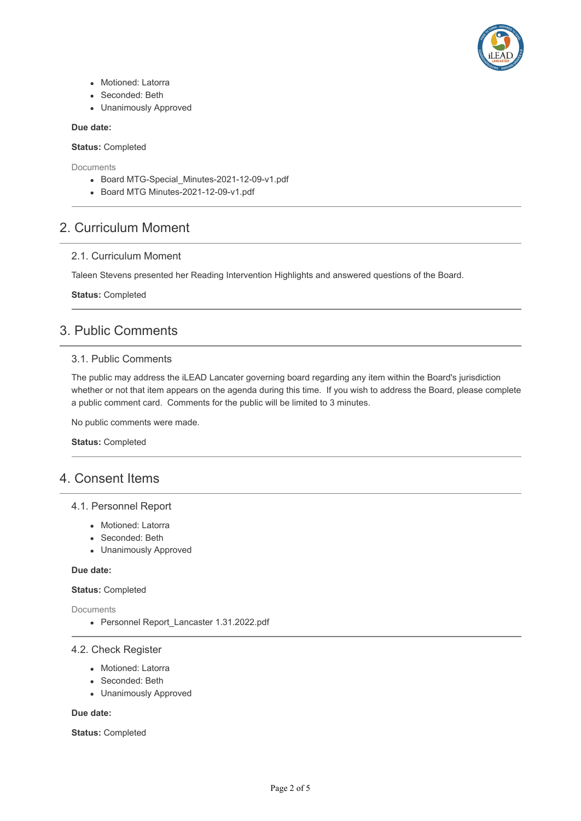

- Motioned: Latorra
- Seconded: Beth
- Unanimously Approved

#### **Due date:**

**Status:** Completed

**Documents** 

- Board MTG-Special Minutes-2021-12-09-v1.pdf
- Board MTG Minutes-2021-12-09-v1.pdf

## 2. Curriculum Moment

## 2.1. Curriculum Moment

Taleen Stevens presented her Reading Intervention Highlights and answered questions of the Board.

**Status:** Completed

## 3. Public Comments

## 3.1. Public Comments

The public may address the iLEAD Lancater governing board regarding any item within the Board's jurisdiction whether or not that item appears on the agenda during this time. If you wish to address the Board, please complete a public comment card. Comments for the public will be limited to 3 minutes.

No public comments were made.

**Status:** Completed

## 4. Consent Items

## 4.1. Personnel Report

- Motioned: Latorra
- Seconded: Beth
- Unanimously Approved

#### **Due date:**

### **Status:** Completed

**Documents** 

Personnel Report\_Lancaster 1.31.2022.pdf

## 4.2. Check Register

- Motioned: Latorra
- Seconded: Beth
- Unanimously Approved

#### **Due date:**

**Status:** Completed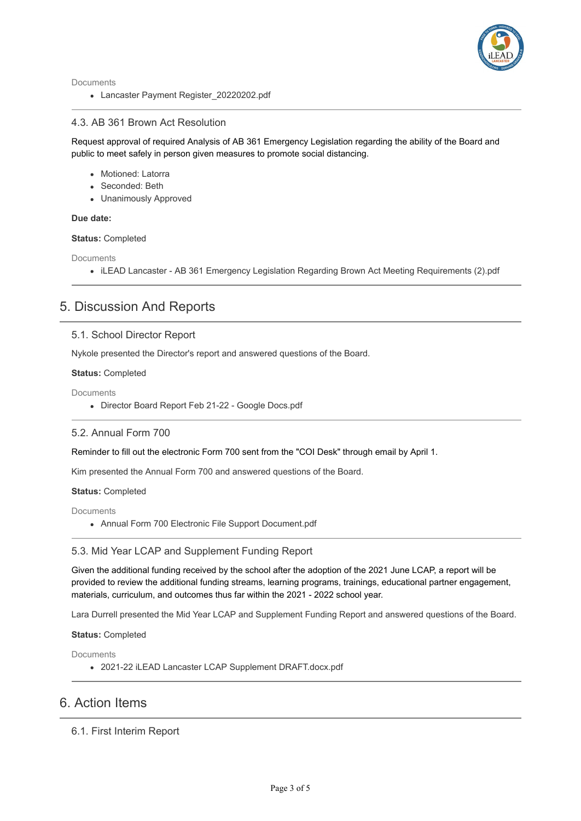

Documents

• Lancaster Payment Register 20220202.pdf

## 4.3. AB 361 Brown Act Resolution

Request approval of required Analysis of AB 361 Emergency Legislation regarding the ability of the Board and public to meet safely in person given measures to promote social distancing.

- Motioned: Latorra
- Seconded: Beth
- Unanimously Approved

### **Due date:**

#### **Status:** Completed

**Documents** 

iLEAD Lancaster - AB 361 Emergency Legislation Regarding Brown Act Meeting Requirements (2).pdf

## 5. Discussion And Reports

## 5.1. School Director Report

Nykole presented the Director's report and answered questions of the Board.

#### **Status:** Completed

**Documents** 

Director Board Report Feb 21-22 - Google Docs.pdf

### 5.2. Annual Form 700

Reminder to fill out the electronic Form 700 sent from the "COI Desk" through email by April 1.

Kim presented the Annual Form 700 and answered questions of the Board.

#### **Status:** Completed

**Documents** 

Annual Form 700 Electronic File Support Document.pdf

### 5.3. Mid Year LCAP and Supplement Funding Report

Given the additional funding received by the school after the adoption of the 2021 June LCAP, a report will be provided to review the additional funding streams, learning programs, trainings, educational partner engagement, materials, curriculum, and outcomes thus far within the 2021 - 2022 school year.

Lara Durrell presented the Mid Year LCAP and Supplement Funding Report and answered questions of the Board.

**Status:** Completed

Documents

2021-22 iLEAD Lancaster LCAP Supplement DRAFT.docx.pdf

## 6. Action Items

## 6.1. First Interim Report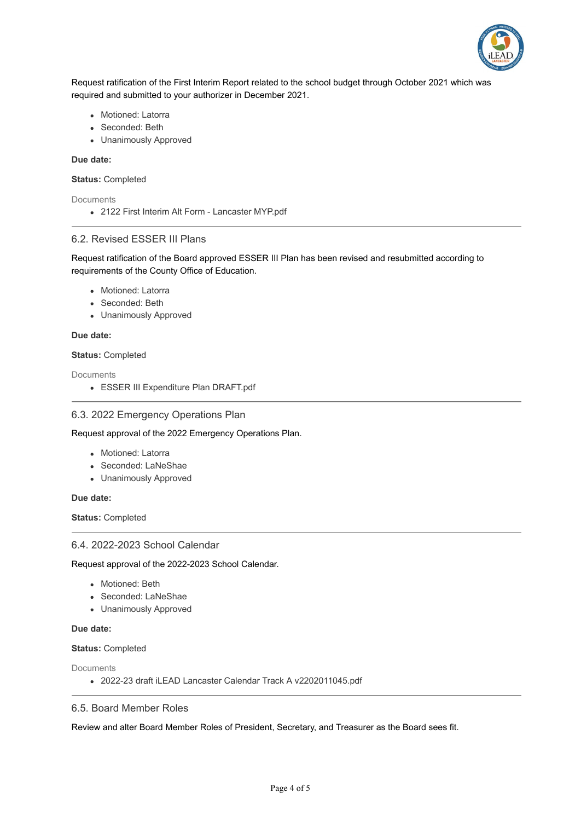

Request ratification of the First Interim Report related to the school budget through October 2021 which was required and submitted to your authorizer in December 2021.

- Motioned: Latorra
- Seconded: Beth
- Unanimously Approved

#### **Due date:**

**Status:** Completed

**Documents** 

2122 First Interim Alt Form - Lancaster MYP.pdf

### 6.2. Revised ESSER III Plans

Request ratification of the Board approved ESSER III Plan has been revised and resubmitted according to requirements of the County Office of Education.

- Motioned: Latorra
- Seconded: Beth
- Unanimously Approved

**Due date:**

#### **Status:** Completed

Documents

ESSER III Expenditure Plan DRAFT.pdf

### 6.3. 2022 Emergency Operations Plan

Request approval of the 2022 Emergency Operations Plan.

- Motioned: Latorra
- Seconded: LaNeShae
- Unanimously Approved

#### **Due date:**

**Status:** Completed

#### 6.4. 2022-2023 School Calendar

Request approval of the 2022-2023 School Calendar.

- Motioned: Beth
- Seconded: LaNeShae
- Unanimously Approved

#### **Due date:**

**Status:** Completed

Documents

2022-23 draft iLEAD Lancaster Calendar Track A v2202011045.pdf

## 6.5. Board Member Roles

Review and alter Board Member Roles of President, Secretary, and Treasurer as the Board sees fit.